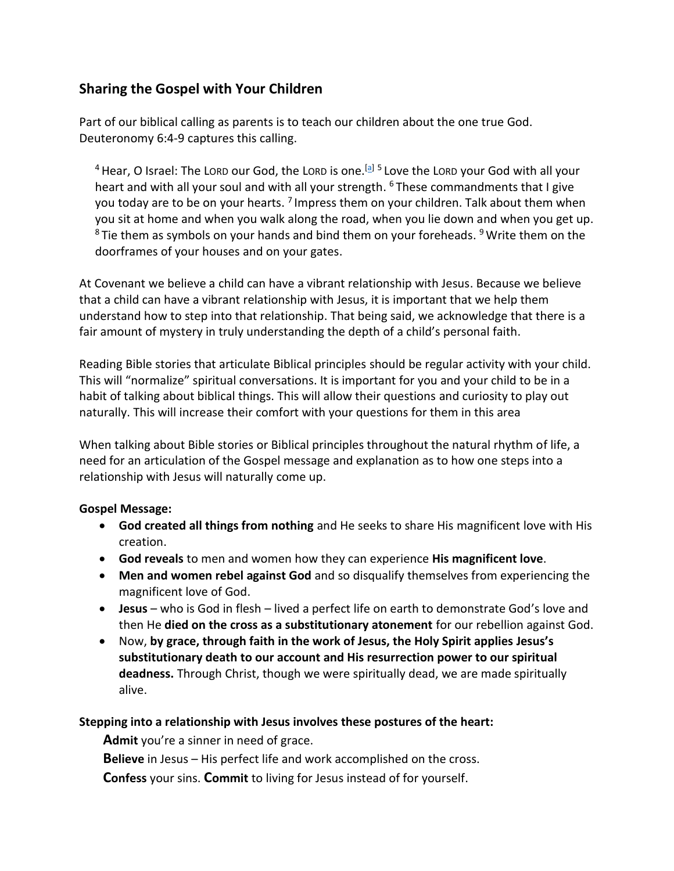# **Sharing the Gospel with Your Children**

Part of our biblical calling as parents is to teach our children about the one true God. Deuteronomy 6:4-9 captures this calling.

<sup>4</sup> Hear, O Israel: The Lorp our God, the Lorp is one.<sup>[\[a\]](https://www.biblegateway.com/passage/?search=Deuteronomy+6%3A4-9&version=NIV#fen-NIV-5091a) 5</sup> Love the Lorp your God with all your heart and with all your soul and with all your strength. <sup>6</sup> These commandments that I give you today are to be on your hearts. <sup>7</sup> Impress them on your children. Talk about them when you sit at home and when you walk along the road, when you lie down and when you get up.  $8$ Tie them as symbols on your hands and bind them on your foreheads.  $9$  Write them on the doorframes of your houses and on your gates.

At Covenant we believe a child can have a vibrant relationship with Jesus. Because we believe that a child can have a vibrant relationship with Jesus, it is important that we help them understand how to step into that relationship. That being said, we acknowledge that there is a fair amount of mystery in truly understanding the depth of a child's personal faith.

Reading Bible stories that articulate Biblical principles should be regular activity with your child. This will "normalize" spiritual conversations. It is important for you and your child to be in a habit of talking about biblical things. This will allow their questions and curiosity to play out naturally. This will increase their comfort with your questions for them in this area

When talking about Bible stories or Biblical principles throughout the natural rhythm of life, a need for an articulation of the Gospel message and explanation as to how one steps into a relationship with Jesus will naturally come up.

## **Gospel Message:**

- **God created all things from nothing** and He seeks to share His magnificent love with His creation.
- **God reveals** to men and women how they can experience **His magnificent love**.
- **Men and women rebel against God** and so disqualify themselves from experiencing the magnificent love of God.
- **Jesus** who is God in flesh lived a perfect life on earth to demonstrate God's love and then He **died on the cross as a substitutionary atonement** for our rebellion against God.
- Now, **by grace, through faith in the work of Jesus, the Holy Spirit applies Jesus's substitutionary death to our account and His resurrection power to our spiritual deadness.** Through Christ, though we were spiritually dead, we are made spiritually alive.

## **Stepping into a relationship with Jesus involves these postures of the heart:**

**Admit** you're a sinner in need of grace.

**Believe** in Jesus – His perfect life and work accomplished on the cross.

**Confess** your sins. **Commit** to living for Jesus instead of for yourself.